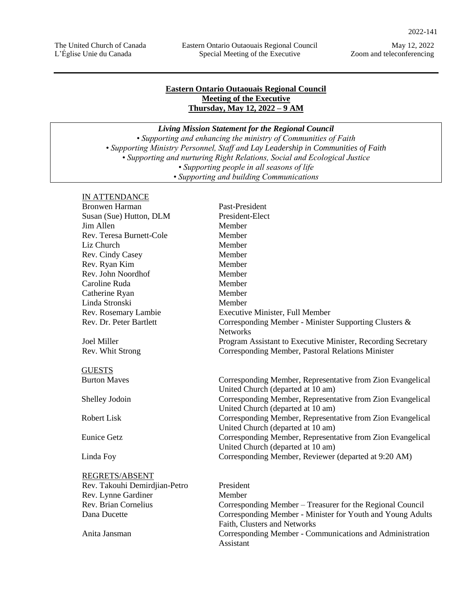May 12, 2022 Zoom and teleconferencing

# **Eastern Ontario Outaouais Regional Council Meeting of the Executive Thursday, May 12, 2022 – 9 AM**

*Living Mission Statement for the Regional Council*

*• Supporting and enhancing the ministry of Communities of Faith • Supporting Ministry Personnel, Staff and Lay Leadership in Communities of Faith • Supporting and nurturing Right Relations, Social and Ecological Justice • Supporting people in all seasons of life • Supporting and building Communications*

### IN ATTENDANCE

| <b>Bronwen Harman</b>         | Past-President                                               |
|-------------------------------|--------------------------------------------------------------|
| Susan (Sue) Hutton, DLM       | President-Elect                                              |
| Jim Allen                     | Member                                                       |
| Rev. Teresa Burnett-Cole      | Member                                                       |
| Liz Church                    | Member                                                       |
| Rev. Cindy Casey              | Member                                                       |
| Rev. Ryan Kim                 | Member                                                       |
| Rev. John Noordhof            | Member                                                       |
| Caroline Ruda                 | Member                                                       |
| Catherine Ryan                | Member                                                       |
| Linda Stronski                | Member                                                       |
| Rev. Rosemary Lambie          | <b>Executive Minister, Full Member</b>                       |
| Rev. Dr. Peter Bartlett       | Corresponding Member - Minister Supporting Clusters &        |
|                               | <b>Networks</b>                                              |
| <b>Joel Miller</b>            | Program Assistant to Executive Minister, Recording Secretary |
| Rev. Whit Strong              | Corresponding Member, Pastoral Relations Minister            |
| <b>GUESTS</b>                 |                                                              |
| <b>Burton Maves</b>           | Corresponding Member, Representative from Zion Evangelical   |
|                               | United Church (departed at 10 am)                            |
| Shelley Jodoin                | Corresponding Member, Representative from Zion Evangelical   |
|                               | United Church (departed at 10 am)                            |
| <b>Robert Lisk</b>            | Corresponding Member, Representative from Zion Evangelical   |
|                               | United Church (departed at 10 am)                            |
| <b>Eunice Getz</b>            | Corresponding Member, Representative from Zion Evangelical   |
|                               | United Church (departed at 10 am)                            |
| Linda Foy                     | Corresponding Member, Reviewer (departed at 9:20 AM)         |
| REGRETS/ABSENT                |                                                              |
| Rev. Takouhi Demirdjian-Petro | President                                                    |
| Rev. Lynne Gardiner           | Member                                                       |
| <b>Rev. Brian Cornelius</b>   | Corresponding Member – Treasurer for the Regional Council    |
| Dana Ducette                  | Corresponding Member - Minister for Youth and Young Adults   |
|                               | Faith, Clusters and Networks                                 |
| Anita Jansman                 | Corresponding Member - Communications and Administration     |
|                               | Assistant                                                    |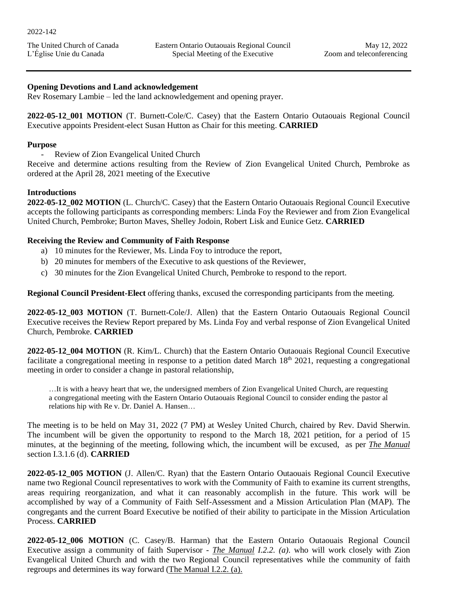The United Church of Canada L'Église Unie du Canada

### **Opening Devotions and Land acknowledgement**

Rev Rosemary Lambie – led the land acknowledgement and opening prayer.

**2022-05-12\_001 MOTION** (T. Burnett-Cole/C. Casey) that the Eastern Ontario Outaouais Regional Council Executive appoints President-elect Susan Hutton as Chair for this meeting. **CARRIED**

### **Purpose**

- Review of Zion Evangelical United Church

Receive and determine actions resulting from the Review of Zion Evangelical United Church, Pembroke as ordered at the April 28, 2021 meeting of the Executive

### **Introductions**

**2022-05-12\_002 MOTION** (L. Church/C. Casey) that the Eastern Ontario Outaouais Regional Council Executive accepts the following participants as corresponding members: Linda Foy the Reviewer and from Zion Evangelical United Church, Pembroke; Burton Maves, Shelley Jodoin, Robert Lisk and Eunice Getz. **CARRIED**

# **Receiving the Review and Community of Faith Response**

- a) 10 minutes for the Reviewer, Ms. Linda Foy to introduce the report,
- b) 20 minutes for members of the Executive to ask questions of the Reviewer,
- c) 30 minutes for the Zion Evangelical United Church, Pembroke to respond to the report.

**Regional Council President-Elect** offering thanks, excused the corresponding participants from the meeting.

**2022-05-12\_003 MOTION** (T. Burnett-Cole/J. Allen) that the Eastern Ontario Outaouais Regional Council Executive receives the Review Report prepared by Ms. Linda Foy and verbal response of Zion Evangelical United Church, Pembroke. **CARRIED**

**2022-05-12\_004 MOTION** (R. Kim/L. Church) that the Eastern Ontario Outaouais Regional Council Executive facilitate a congregational meeting in response to a petition dated March  $18<sup>th</sup> 2021$ , requesting a congregational meeting in order to consider a change in pastoral relationship,

…It is with a heavy heart that we, the undersigned members of Zion Evangelical United Church, are requesting a congregational meeting with the Eastern Ontario Outaouais Regional Council to consider ending the pastor al relations hip with Re v. Dr. Daniel A. Hansen…

The meeting is to be held on May 31, 2022 (7 PM) at Wesley United Church, chaired by Rev. David Sherwin. The incumbent will be given the opportunity to respond to the March 18, 2021 petition, for a period of 15 minutes, at the beginning of the meeting, following which, the incumbent will be excused, as per *The Manual* section I.3.1.6 (d). **CARRIED**

**2022-05-12\_005 MOTION** (J. Allen/C. Ryan) that the Eastern Ontario Outaouais Regional Council Executive name two Regional Council representatives to work with the Community of Faith to examine its current strengths, areas requiring reorganization, and what it can reasonably accomplish in the future. This work will be accomplished by way of a Community of Faith Self-Assessment and a Mission Articulation Plan (MAP). The congregants and the current Board Executive be notified of their ability to participate in the Mission Articulation Process. **CARRIED**

**2022-05-12\_006 MOTION** (C. Casey/B. Harman) that the Eastern Ontario Outaouais Regional Council Executive assign a community of faith Supervisor - *The Manual I.2.2. (a)*. who will work closely with Zion Evangelical United Church and with the two Regional Council representatives while the community of faith regroups and determines its way forward (The Manual I.2.2. (a).